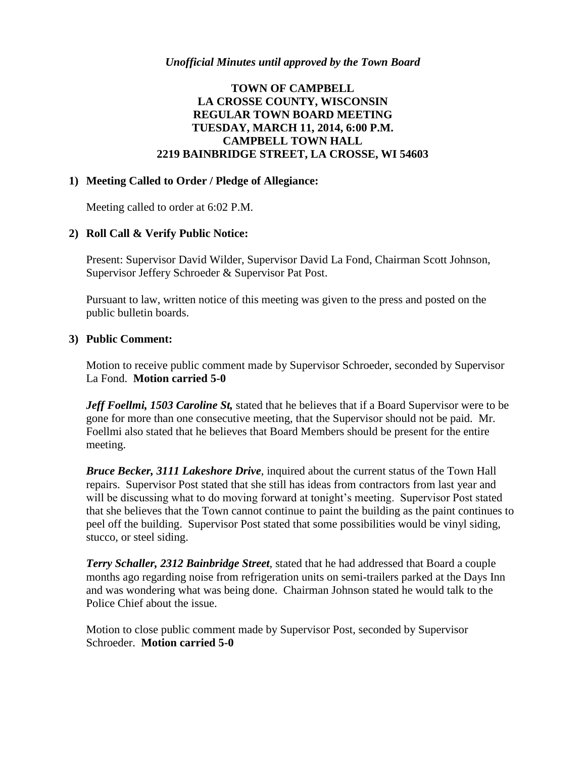# **TOWN OF CAMPBELL LA CROSSE COUNTY, WISCONSIN REGULAR TOWN BOARD MEETING TUESDAY, MARCH 11, 2014, 6:00 P.M. CAMPBELL TOWN HALL 2219 BAINBRIDGE STREET, LA CROSSE, WI 54603**

### **1) Meeting Called to Order / Pledge of Allegiance:**

Meeting called to order at 6:02 P.M.

## **2) Roll Call & Verify Public Notice:**

Present: Supervisor David Wilder, Supervisor David La Fond, Chairman Scott Johnson, Supervisor Jeffery Schroeder & Supervisor Pat Post.

Pursuant to law, written notice of this meeting was given to the press and posted on the public bulletin boards.

### **3) Public Comment:**

Motion to receive public comment made by Supervisor Schroeder, seconded by Supervisor La Fond. **Motion carried 5-0**

*Jeff Foellmi, 1503 Caroline St,* stated that he believes that if a Board Supervisor were to be gone for more than one consecutive meeting, that the Supervisor should not be paid. Mr. Foellmi also stated that he believes that Board Members should be present for the entire meeting.

*Bruce Becker, 3111 Lakeshore Drive*, inquired about the current status of the Town Hall repairs. Supervisor Post stated that she still has ideas from contractors from last year and will be discussing what to do moving forward at tonight's meeting. Supervisor Post stated that she believes that the Town cannot continue to paint the building as the paint continues to peel off the building. Supervisor Post stated that some possibilities would be vinyl siding, stucco, or steel siding.

*Terry Schaller, 2312 Bainbridge Street*, stated that he had addressed that Board a couple months ago regarding noise from refrigeration units on semi-trailers parked at the Days Inn and was wondering what was being done. Chairman Johnson stated he would talk to the Police Chief about the issue.

Motion to close public comment made by Supervisor Post, seconded by Supervisor Schroeder. **Motion carried 5-0**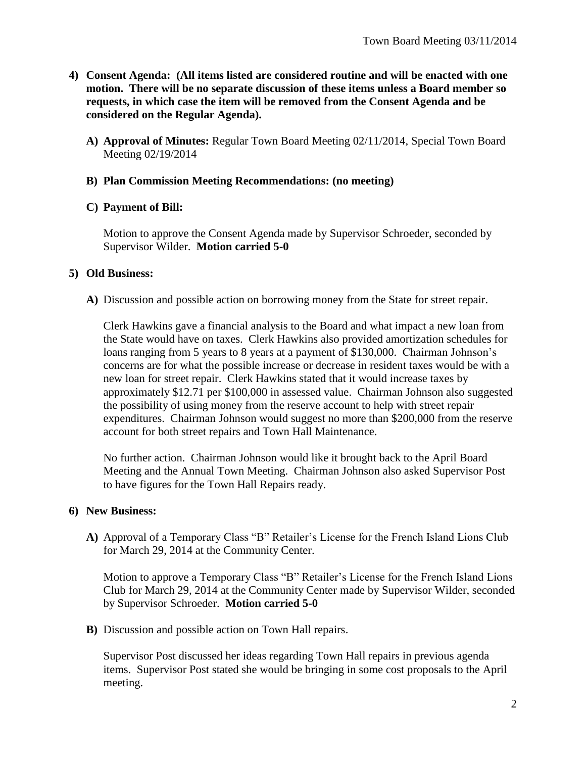- **4) Consent Agenda: (All items listed are considered routine and will be enacted with one motion. There will be no separate discussion of these items unless a Board member so requests, in which case the item will be removed from the Consent Agenda and be considered on the Regular Agenda).**
	- **A) Approval of Minutes:** Regular Town Board Meeting 02/11/2014, Special Town Board Meeting 02/19/2014

### **B) Plan Commission Meeting Recommendations: (no meeting)**

### **C) Payment of Bill:**

Motion to approve the Consent Agenda made by Supervisor Schroeder, seconded by Supervisor Wilder. **Motion carried 5-0**

### **5) Old Business:**

**A)** Discussion and possible action on borrowing money from the State for street repair.

Clerk Hawkins gave a financial analysis to the Board and what impact a new loan from the State would have on taxes. Clerk Hawkins also provided amortization schedules for loans ranging from 5 years to 8 years at a payment of \$130,000. Chairman Johnson's concerns are for what the possible increase or decrease in resident taxes would be with a new loan for street repair. Clerk Hawkins stated that it would increase taxes by approximately \$12.71 per \$100,000 in assessed value. Chairman Johnson also suggested the possibility of using money from the reserve account to help with street repair expenditures. Chairman Johnson would suggest no more than \$200,000 from the reserve account for both street repairs and Town Hall Maintenance.

No further action. Chairman Johnson would like it brought back to the April Board Meeting and the Annual Town Meeting. Chairman Johnson also asked Supervisor Post to have figures for the Town Hall Repairs ready.

## **6) New Business:**

**A)** Approval of a Temporary Class "B" Retailer's License for the French Island Lions Club for March 29, 2014 at the Community Center.

Motion to approve a Temporary Class "B" Retailer's License for the French Island Lions Club for March 29, 2014 at the Community Center made by Supervisor Wilder, seconded by Supervisor Schroeder. **Motion carried 5-0**

**B)** Discussion and possible action on Town Hall repairs.

Supervisor Post discussed her ideas regarding Town Hall repairs in previous agenda items. Supervisor Post stated she would be bringing in some cost proposals to the April meeting.